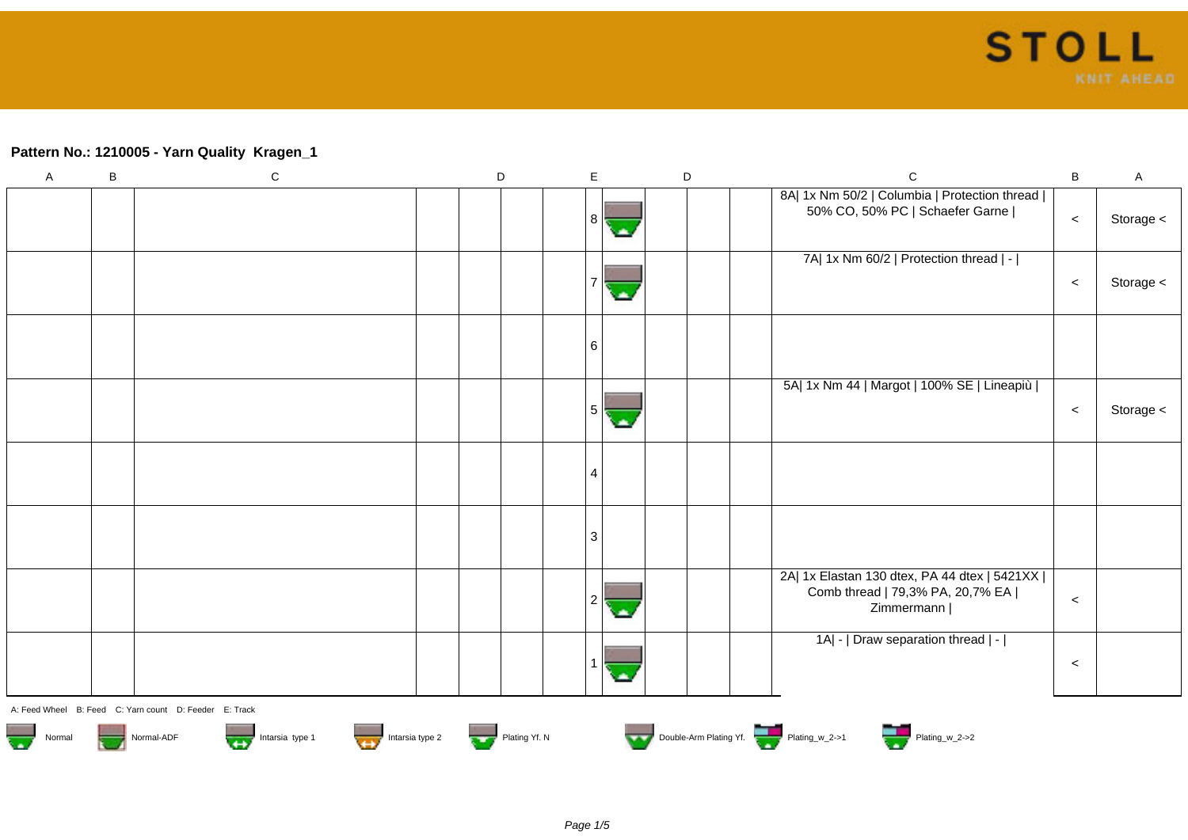## **Pattern No.: 1210005 - Yarn Quality Kragen\_1**

| $\mathsf A$                                                                                                                                          | $\sf B$ | ${\bf C}$ |  | D |  | $\mathsf E$    |  | $\mathsf D$ | $\mathsf C$                                                                                        | B       | $\mathsf{A}$ |
|------------------------------------------------------------------------------------------------------------------------------------------------------|---------|-----------|--|---|--|----------------|--|-------------|----------------------------------------------------------------------------------------------------|---------|--------------|
|                                                                                                                                                      |         |           |  |   |  | 8              |  |             | 8A  1x Nm 50/2   Columbia   Protection thread  <br>50% CO, 50% PC   Schaefer Garne                 | $\,<$   | Storage <    |
|                                                                                                                                                      |         |           |  |   |  |                |  |             | 7A  1x Nm 60/2   Protection thread   -                                                             | $\,<$   | Storage <    |
|                                                                                                                                                      |         |           |  |   |  | 6              |  |             |                                                                                                    |         |              |
|                                                                                                                                                      |         |           |  |   |  | 5 <sup>1</sup> |  |             | 5A  1x Nm 44   Margot   100% SE   Lineapiù                                                         | $\,<$   | Storage <    |
|                                                                                                                                                      |         |           |  |   |  | 4              |  |             |                                                                                                    |         |              |
|                                                                                                                                                      |         |           |  |   |  | 3              |  |             |                                                                                                    |         |              |
|                                                                                                                                                      |         |           |  |   |  |                |  |             | 2A  1x Elastan 130 dtex, PA 44 dtex   5421XX  <br>Comb thread   79,3% PA, 20,7% EA  <br>Zimmermann | $\prec$ |              |
|                                                                                                                                                      |         |           |  |   |  |                |  |             | 1A  -   Draw separation thread   -                                                                 | $\prec$ |              |
| A: Feed Wheel B: Feed C: Yarn count D: Feeder E: Track                                                                                               |         |           |  |   |  |                |  |             |                                                                                                    |         |              |
| Double-Arm Plating Yf. Plating_w_2->1 Plating_w_2->2<br>Intarsia type 2<br>Plating Yf. N<br>Intarsia type 1<br>$\frac{1}{2}$<br>Normal-ADF<br>Normal |         |           |  |   |  |                |  |             |                                                                                                    |         |              |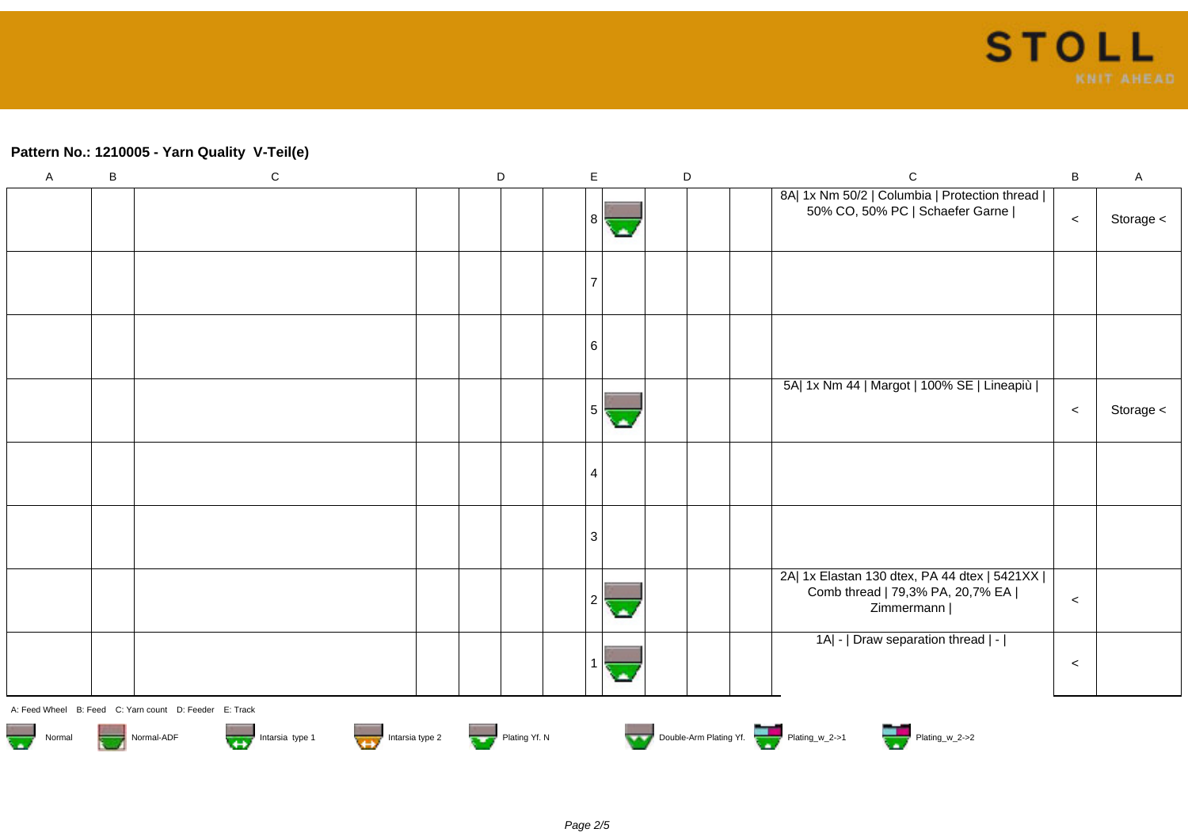## **Pattern No.: 1210005 - Yarn Quality V-Teil(e)**

| $\mathsf A$                                                                                                             | $\mathsf B$ | ${\bf C}$ |  | $\mathsf D$ |  | $\mathsf E$    |   | $\mathsf D$ | $\mathsf C$                                                                                        | B       | $\mathsf{A}$ |
|-------------------------------------------------------------------------------------------------------------------------|-------------|-----------|--|-------------|--|----------------|---|-------------|----------------------------------------------------------------------------------------------------|---------|--------------|
|                                                                                                                         |             |           |  |             |  | 8              |   |             | 8A  1x Nm 50/2   Columbia   Protection thread  <br>50% CO, 50% PC   Schaefer Garne                 | $\,<$   | Storage <    |
|                                                                                                                         |             |           |  |             |  |                |   |             |                                                                                                    |         |              |
|                                                                                                                         |             |           |  |             |  | 6              |   |             |                                                                                                    |         |              |
|                                                                                                                         |             |           |  |             |  | 5              | ٠ |             | 5A  1x Nm 44   Margot   100% SE   Lineapiù                                                         | $\prec$ | Storage <    |
|                                                                                                                         |             |           |  |             |  | $\overline{4}$ |   |             |                                                                                                    |         |              |
|                                                                                                                         |             |           |  |             |  | 3              |   |             |                                                                                                    |         |              |
|                                                                                                                         |             |           |  |             |  | $\overline{2}$ |   |             | 2A  1x Elastan 130 dtex, PA 44 dtex   5421XX  <br>Comb thread   79,3% PA, 20,7% EA  <br>Zimmermann | $\prec$ |              |
|                                                                                                                         |             |           |  |             |  |                |   |             | 1A  -   Draw separation thread   -                                                                 | $\prec$ |              |
| A: Feed Wheel B: Feed C: Yarn count D: Feeder E: Track                                                                  |             |           |  |             |  |                |   |             |                                                                                                    |         |              |
| Double-Arm Plating Yf. Plating_w_2->1 Plating_w_2->2<br>Normal Normal-ADF Intarsia type 1 Intarsia type 2 Plating Yf. N |             |           |  |             |  |                |   |             |                                                                                                    |         |              |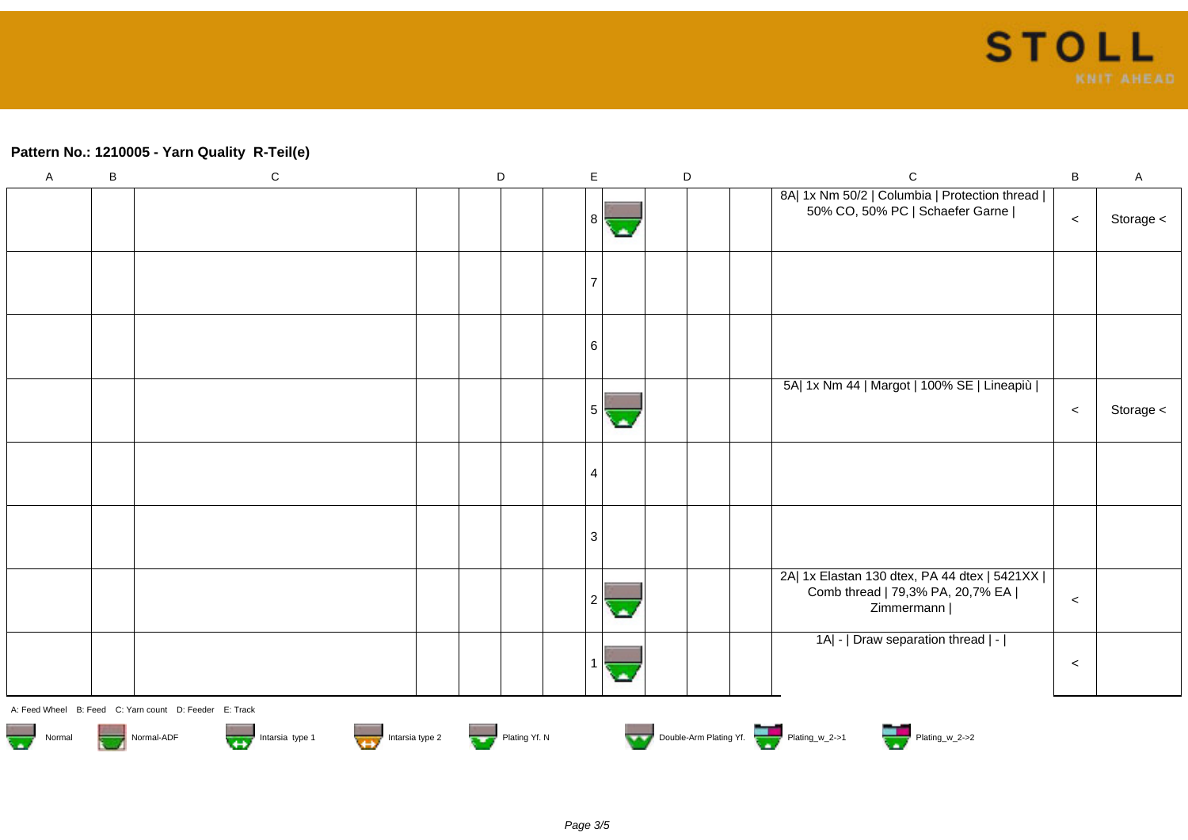## **Pattern No.: 1210005 - Yarn Quality R-Teil(e)**

| $\mathsf{A}$                                                                                                                        | $\, {\bf B}$ | ${\bf C}$ | $\mathsf D$ | E              |            | $\mathsf D$ | $\mathsf C$                                                                                        | B       | $\mathsf A$ |
|-------------------------------------------------------------------------------------------------------------------------------------|--------------|-----------|-------------|----------------|------------|-------------|----------------------------------------------------------------------------------------------------|---------|-------------|
|                                                                                                                                     |              |           |             | 8              |            |             | 8A  1x Nm 50/2   Columbia   Protection thread  <br>50% CO, 50% PC   Schaefer Garne                 | $\,<\,$ | Storage <   |
|                                                                                                                                     |              |           |             |                |            |             |                                                                                                    |         |             |
|                                                                                                                                     |              |           |             | 6              |            |             |                                                                                                    |         |             |
|                                                                                                                                     |              |           |             | 5              | <b>Sta</b> |             | 5A  1x Nm 44   Margot   100% SE   Lineapiù                                                         | $\prec$ | Storage <   |
|                                                                                                                                     |              |           |             | 4              |            |             |                                                                                                    |         |             |
|                                                                                                                                     |              |           |             | 3              |            |             |                                                                                                    |         |             |
|                                                                                                                                     |              |           |             | $\overline{2}$ |            |             | 2A  1x Elastan 130 dtex, PA 44 dtex   5421XX  <br>Comb thread   79,3% PA, 20,7% EA  <br>Zimmermann | $\prec$ |             |
|                                                                                                                                     |              |           |             |                |            |             | 1A  -   Draw separation thread   -                                                                 | $\prec$ |             |
| A: Feed Wheel B: Feed C: Yarn count D: Feeder E: Track                                                                              |              |           |             |                |            |             |                                                                                                    |         |             |
| Double-Arm Plating Yf. Plating w_2->1 Plating W_2->2<br>Normal<br>Intarsia type 1<br>Intarsia type 2<br>Plating Yf. N<br>Normal-ADF |              |           |             |                |            |             |                                                                                                    |         |             |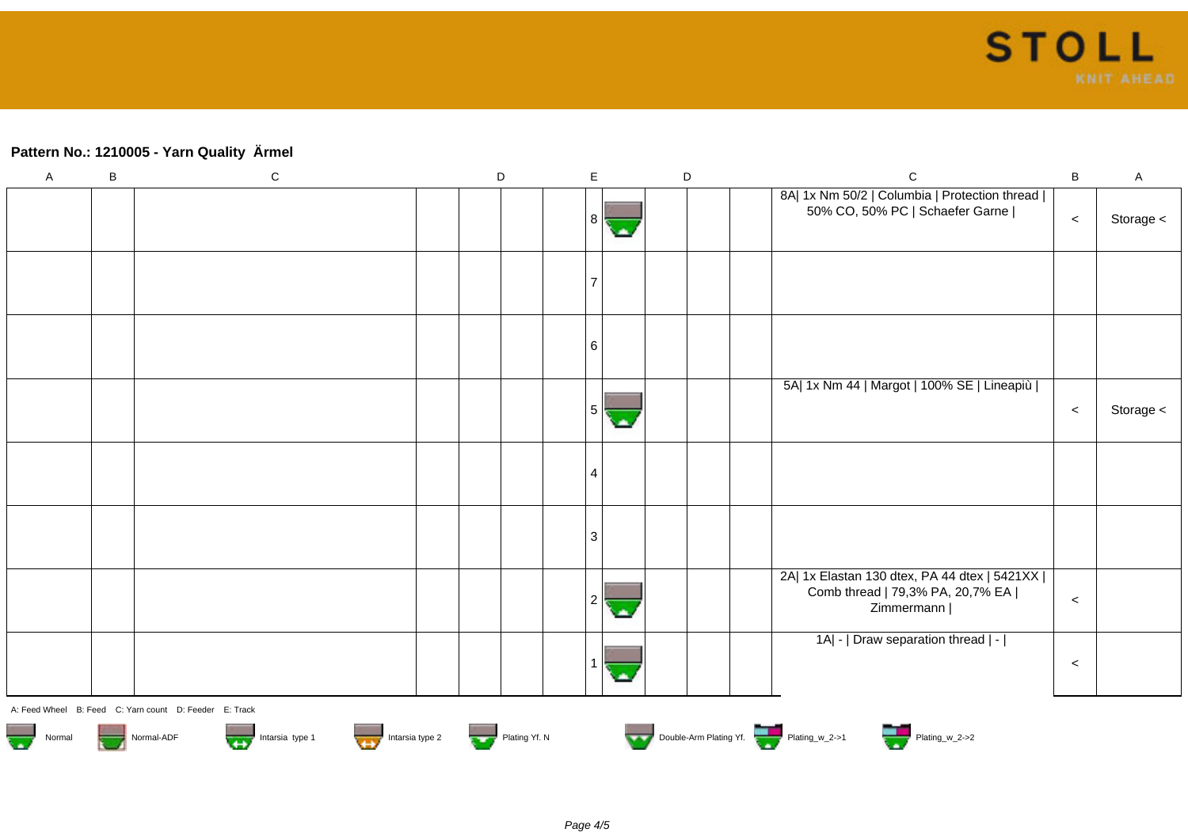## **Pattern No.: 1210005 - Yarn Quality Ärmel**

| $\mathsf{A}$                                                                                          | $\, {\bf B}$ | ${\bf C}$ | $\mathsf D$ |  | E              |              | $\mathsf D$ | $\mathsf C$                                                                                        | B       | $\mathsf A$ |
|-------------------------------------------------------------------------------------------------------|--------------|-----------|-------------|--|----------------|--------------|-------------|----------------------------------------------------------------------------------------------------|---------|-------------|
|                                                                                                       |              |           |             |  | 8              | <b>State</b> |             | 8A  1x Nm 50/2   Columbia   Protection thread  <br>50% CO, 50% PC   Schaefer Garne                 | $\prec$ | Storage <   |
|                                                                                                       |              |           |             |  |                |              |             |                                                                                                    |         |             |
|                                                                                                       |              |           |             |  | 6              |              |             |                                                                                                    |         |             |
|                                                                                                       |              |           |             |  | 5              | <b>Sta</b>   |             | 5A  1x Nm 44   Margot   100% SE   Lineapiù                                                         | $\,<$   | Storage <   |
|                                                                                                       |              |           |             |  | $\overline{4}$ |              |             |                                                                                                    |         |             |
|                                                                                                       |              |           |             |  | 3              |              |             |                                                                                                    |         |             |
|                                                                                                       |              |           |             |  | $\overline{2}$ |              |             | 2A  1x Elastan 130 dtex, PA 44 dtex   5421XX  <br>Comb thread   79,3% PA, 20,7% EA  <br>Zimmermann | $\prec$ |             |
|                                                                                                       |              |           |             |  |                |              |             | 1A  -   Draw separation thread   -                                                                 | $\prec$ |             |
| A: Feed Wheel B: Feed C: Yarn count D: Feeder E: Track                                                |              |           |             |  |                |              |             |                                                                                                    |         |             |
| Double-Arm Plating Yf.<br>Normal<br>Intarsia type 1<br>Intarsia type 1<br>Plating Yf. N<br>Normal-ADF |              |           |             |  |                |              |             |                                                                                                    |         |             |